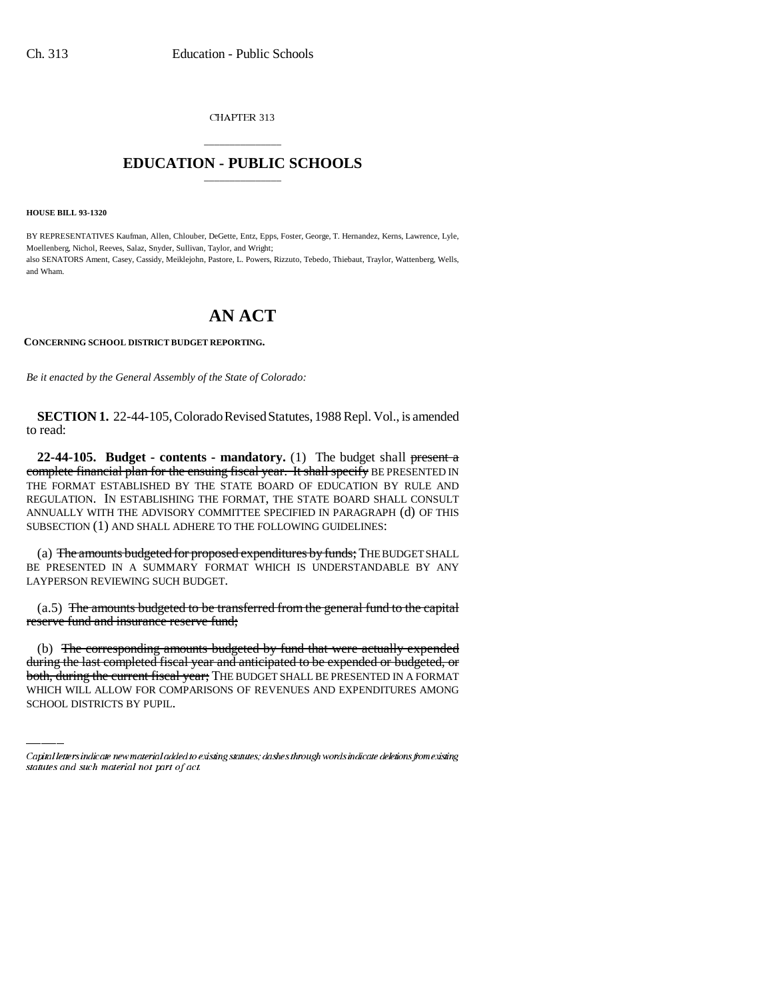CHAPTER 313

## \_\_\_\_\_\_\_\_\_\_\_\_\_\_\_ **EDUCATION - PUBLIC SCHOOLS** \_\_\_\_\_\_\_\_\_\_\_\_\_\_\_

**HOUSE BILL 93-1320**

BY REPRESENTATIVES Kaufman, Allen, Chlouber, DeGette, Entz, Epps, Foster, George, T. Hernandez, Kerns, Lawrence, Lyle, Moellenberg, Nichol, Reeves, Salaz, Snyder, Sullivan, Taylor, and Wright; also SENATORS Ament, Casey, Cassidy, Meiklejohn, Pastore, L. Powers, Rizzuto, Tebedo, Thiebaut, Traylor, Wattenberg, Wells, and Wham.

## **AN ACT**

## **CONCERNING SCHOOL DISTRICT BUDGET REPORTING.**

*Be it enacted by the General Assembly of the State of Colorado:*

**SECTION 1.** 22-44-105, Colorado Revised Statutes, 1988 Repl. Vol., is amended to read:

**22-44-105. Budget - contents - mandatory.** (1) The budget shall present a complete financial plan for the ensuing fiscal year. It shall specify BE PRESENTED IN THE FORMAT ESTABLISHED BY THE STATE BOARD OF EDUCATION BY RULE AND REGULATION. IN ESTABLISHING THE FORMAT, THE STATE BOARD SHALL CONSULT ANNUALLY WITH THE ADVISORY COMMITTEE SPECIFIED IN PARAGRAPH (d) OF THIS SUBSECTION (1) AND SHALL ADHERE TO THE FOLLOWING GUIDELINES:

(a) The amounts budgeted for proposed expenditures by funds; THE BUDGET SHALL BE PRESENTED IN A SUMMARY FORMAT WHICH IS UNDERSTANDABLE BY ANY LAYPERSON REVIEWING SUCH BUDGET.

(a.5) The amounts budgeted to be transferred from the general fund to the capital reserve fund and insurance reserve fund;

(b) The corresponding amounts budgeted by fund that were actually expended during the last completed fiscal year and anticipated to be expended or budgeted, or both, during the current fiscal year; THE BUDGET SHALL BE PRESENTED IN A FORMAT WHICH WILL ALLOW FOR COMPARISONS OF REVENUES AND EXPENDITURES AMONG SCHOOL DISTRICTS BY PUPIL.

Capital letters indicate new material added to existing statutes; dashes through words indicate deletions from existing statutes and such material not part of act.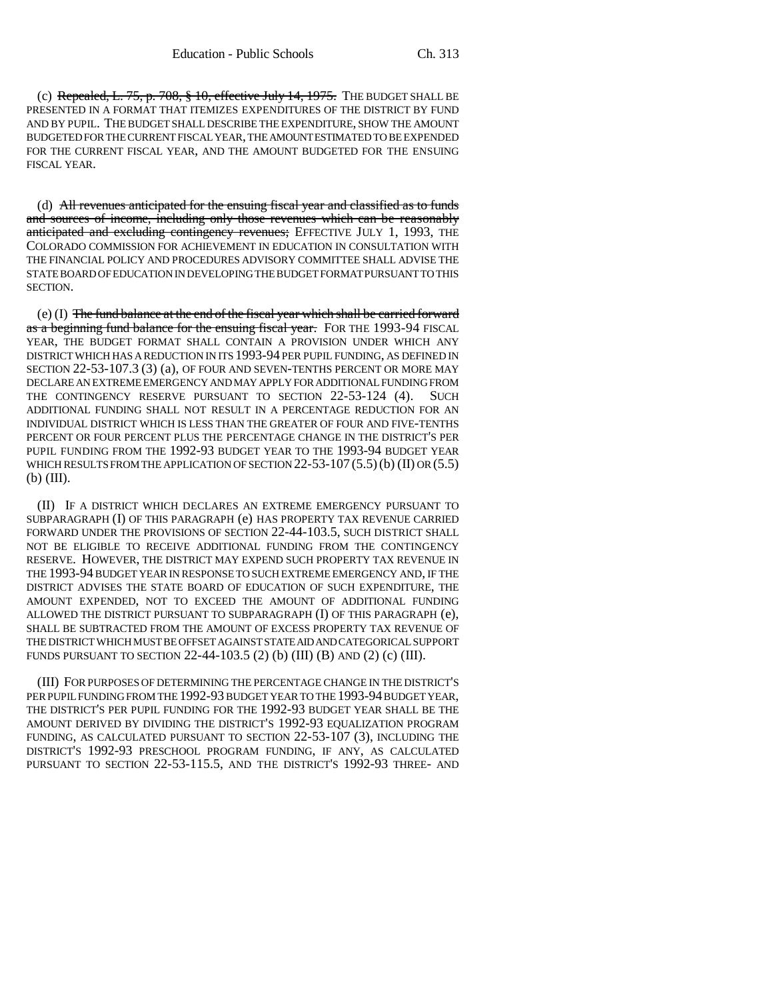(c) Repealed, L.  $75$ , p.  $708$ ,  $\frac{8}{3}$  10, effective July 14, 1975. The BUDGET SHALL BE PRESENTED IN A FORMAT THAT ITEMIZES EXPENDITURES OF THE DISTRICT BY FUND AND BY PUPIL. THE BUDGET SHALL DESCRIBE THE EXPENDITURE, SHOW THE AMOUNT BUDGETED FOR THE CURRENT FISCAL YEAR, THE AMOUNT ESTIMATED TO BE EXPENDED FOR THE CURRENT FISCAL YEAR, AND THE AMOUNT BUDGETED FOR THE ENSUING FISCAL YEAR.

(d) All revenues anticipated for the ensuing fiscal year and classified as to funds and sources of income, including only those revenues which can be reasonably anticipated and excluding contingency revenues; EFFECTIVE JULY 1, 1993, THE COLORADO COMMISSION FOR ACHIEVEMENT IN EDUCATION IN CONSULTATION WITH THE FINANCIAL POLICY AND PROCEDURES ADVISORY COMMITTEE SHALL ADVISE THE STATE BOARD OF EDUCATION IN DEVELOPING THE BUDGET FORMAT PURSUANT TO THIS SECTION.

(e) (I) The fund balance at the end of the fiscal year which shall be carried forward as a beginning fund balance for the ensuing fiscal year. FOR THE 1993-94 FISCAL YEAR, THE BUDGET FORMAT SHALL CONTAIN A PROVISION UNDER WHICH ANY DISTRICT WHICH HAS A REDUCTION IN ITS 1993-94 PER PUPIL FUNDING, AS DEFINED IN SECTION 22-53-107.3 (3) (a), OF FOUR AND SEVEN-TENTHS PERCENT OR MORE MAY DECLARE AN EXTREME EMERGENCY AND MAY APPLY FOR ADDITIONAL FUNDING FROM THE CONTINGENCY RESERVE PURSUANT TO SECTION 22-53-124 (4). SUCH ADDITIONAL FUNDING SHALL NOT RESULT IN A PERCENTAGE REDUCTION FOR AN INDIVIDUAL DISTRICT WHICH IS LESS THAN THE GREATER OF FOUR AND FIVE-TENTHS PERCENT OR FOUR PERCENT PLUS THE PERCENTAGE CHANGE IN THE DISTRICT'S PER PUPIL FUNDING FROM THE 1992-93 BUDGET YEAR TO THE 1993-94 BUDGET YEAR WHICH RESULTS FROM THE APPLICATION OF SECTION  $22-53-107(5.5)(b)$  (II) OR (5.5) (b) (III).

(II) IF A DISTRICT WHICH DECLARES AN EXTREME EMERGENCY PURSUANT TO SUBPARAGRAPH (I) OF THIS PARAGRAPH (e) HAS PROPERTY TAX REVENUE CARRIED FORWARD UNDER THE PROVISIONS OF SECTION 22-44-103.5, SUCH DISTRICT SHALL NOT BE ELIGIBLE TO RECEIVE ADDITIONAL FUNDING FROM THE CONTINGENCY RESERVE. HOWEVER, THE DISTRICT MAY EXPEND SUCH PROPERTY TAX REVENUE IN THE 1993-94 BUDGET YEAR IN RESPONSE TO SUCH EXTREME EMERGENCY AND, IF THE DISTRICT ADVISES THE STATE BOARD OF EDUCATION OF SUCH EXPENDITURE, THE AMOUNT EXPENDED, NOT TO EXCEED THE AMOUNT OF ADDITIONAL FUNDING ALLOWED THE DISTRICT PURSUANT TO SUBPARAGRAPH (I) OF THIS PARAGRAPH (e), SHALL BE SUBTRACTED FROM THE AMOUNT OF EXCESS PROPERTY TAX REVENUE OF THE DISTRICT WHICH MUST BE OFFSET AGAINST STATE AID AND CATEGORICAL SUPPORT FUNDS PURSUANT TO SECTION 22-44-103.5 (2) (b) (III) (B) AND (2) (c) (III).

(III) FOR PURPOSES OF DETERMINING THE PERCENTAGE CHANGE IN THE DISTRICT'S PER PUPIL FUNDING FROM THE 1992-93 BUDGET YEAR TO THE 1993-94 BUDGET YEAR, THE DISTRICT'S PER PUPIL FUNDING FOR THE 1992-93 BUDGET YEAR SHALL BE THE AMOUNT DERIVED BY DIVIDING THE DISTRICT'S 1992-93 EQUALIZATION PROGRAM FUNDING, AS CALCULATED PURSUANT TO SECTION 22-53-107 (3), INCLUDING THE DISTRICT'S 1992-93 PRESCHOOL PROGRAM FUNDING, IF ANY, AS CALCULATED PURSUANT TO SECTION 22-53-115.5, AND THE DISTRICT'S 1992-93 THREE- AND